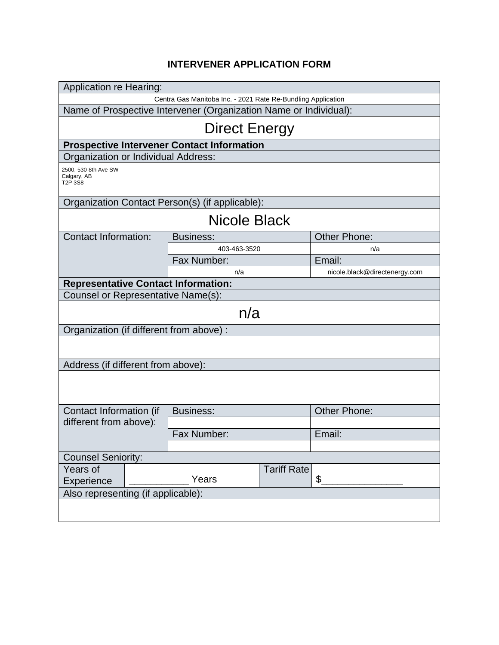## **INTERVENER APPLICATION FORM**

| <b>Application re Hearing:</b>                                    |       |                                            |                    |                               |  |  |
|-------------------------------------------------------------------|-------|--------------------------------------------|--------------------|-------------------------------|--|--|
| Centra Gas Manitoba Inc. - 2021 Rate Re-Bundling Application      |       |                                            |                    |                               |  |  |
| Name of Prospective Intervener (Organization Name or Individual): |       |                                            |                    |                               |  |  |
| <b>Direct Energy</b>                                              |       |                                            |                    |                               |  |  |
| <b>Prospective Intervener Contact Information</b>                 |       |                                            |                    |                               |  |  |
| Organization or Individual Address:                               |       |                                            |                    |                               |  |  |
| 2500, 530-8th Ave SW<br>Calgary, AB<br>T2P 3S8                    |       |                                            |                    |                               |  |  |
| Organization Contact Person(s) (if applicable):                   |       |                                            |                    |                               |  |  |
| Nicole Black                                                      |       |                                            |                    |                               |  |  |
| <b>Contact Information:</b>                                       |       | <b>Business:</b>                           |                    | <b>Other Phone:</b>           |  |  |
|                                                                   |       | 403-463-3520                               |                    | n/a                           |  |  |
|                                                                   |       | Fax Number:                                |                    | Email:                        |  |  |
|                                                                   |       | n/a                                        |                    | nicole.black@directenergy.com |  |  |
|                                                                   |       | <b>Representative Contact Information:</b> |                    |                               |  |  |
| Counsel or Representative Name(s):                                |       |                                            |                    |                               |  |  |
| n/a                                                               |       |                                            |                    |                               |  |  |
| Organization (if different from above) :                          |       |                                            |                    |                               |  |  |
|                                                                   |       |                                            |                    |                               |  |  |
| Address (if different from above):                                |       |                                            |                    |                               |  |  |
|                                                                   |       |                                            |                    |                               |  |  |
|                                                                   |       |                                            |                    |                               |  |  |
| Contact Information (if<br>different from above):                 |       | <b>Business:</b>                           |                    | <b>Other Phone:</b>           |  |  |
|                                                                   |       |                                            |                    |                               |  |  |
|                                                                   |       | Fax Number:                                |                    | Email:                        |  |  |
|                                                                   |       |                                            |                    |                               |  |  |
| <b>Counsel Seniority:</b>                                         |       |                                            |                    |                               |  |  |
| Years of                                                          |       |                                            | <b>Tariff Rate</b> |                               |  |  |
| Experience                                                        | Years |                                            |                    | \$                            |  |  |
| Also representing (if applicable):                                |       |                                            |                    |                               |  |  |
|                                                                   |       |                                            |                    |                               |  |  |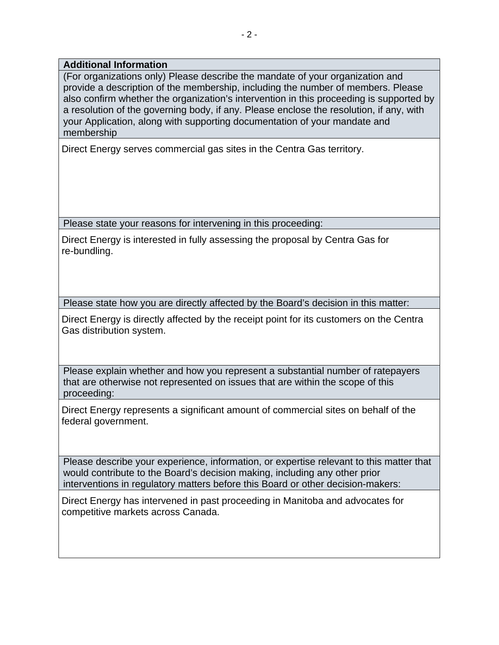## **Additional Information**

(For organizations only) Please describe the mandate of your organization and provide a description of the membership, including the number of members. Please also confirm whether the organization's intervention in this proceeding is supported by a resolution of the governing body, if any. Please enclose the resolution, if any, with your Application, along with supporting documentation of your mandate and membership

Direct Energy serves commercial gas sites in the Centra Gas territory.

Please state your reasons for intervening in this proceeding:

Direct Energy is interested in fully assessing the proposal by Centra Gas for re-bundling.

Please state how you are directly affected by the Board's decision in this matter:

Direct Energy is directly affected by the receipt point for its customers on the Centra Gas distribution system.

Please explain whether and how you represent a substantial number of ratepayers that are otherwise not represented on issues that are within the scope of this proceeding:

Direct Energy represents a significant amount of commercial sites on behalf of the federal government.

Please describe your experience, information, or expertise relevant to this matter that would contribute to the Board's decision making, including any other prior interventions in regulatory matters before this Board or other decision-makers:

Direct Energy has intervened in past proceeding in Manitoba and advocates for competitive markets across Canada.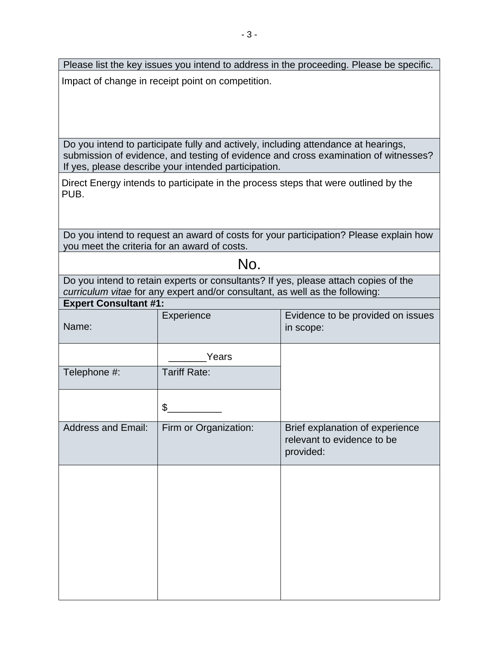Please list the key issues you intend to address in the proceeding. Please be specific. Impact of change in receipt point on competition.

Do you intend to participate fully and actively, including attendance at hearings, submission of evidence, and testing of evidence and cross examination of witnesses? If yes, please describe your intended participation.

Direct Energy intends to participate in the process steps that were outlined by the PUB.

Do you intend to request an award of costs for your participation? Please explain how you meet the criteria for an award of costs.

## No.

Do you intend to retain experts or consultants? If yes, please attach copies of the *curriculum vitae* for any expert and/or consultant, as well as the following:

| <b>Expert Consultant #1:</b> |                       |                                                                            |  |  |
|------------------------------|-----------------------|----------------------------------------------------------------------------|--|--|
| Name:                        | Experience            | Evidence to be provided on issues<br>in scope:                             |  |  |
|                              | Years                 |                                                                            |  |  |
| Telephone #:                 | <b>Tariff Rate:</b>   |                                                                            |  |  |
|                              | $\frac{1}{2}$         |                                                                            |  |  |
| <b>Address and Email:</b>    | Firm or Organization: | Brief explanation of experience<br>relevant to evidence to be<br>provided: |  |  |
|                              |                       |                                                                            |  |  |
|                              |                       |                                                                            |  |  |
|                              |                       |                                                                            |  |  |
|                              |                       |                                                                            |  |  |
|                              |                       |                                                                            |  |  |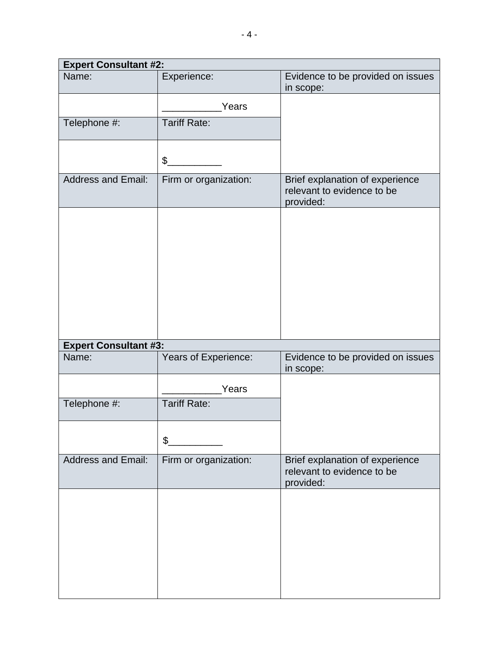| <b>Expert Consultant #2:</b> |                           |                                                                            |  |  |  |
|------------------------------|---------------------------|----------------------------------------------------------------------------|--|--|--|
| Name:                        | Experience:               | Evidence to be provided on issues<br>in scope:                             |  |  |  |
|                              | Years                     |                                                                            |  |  |  |
| Telephone #:                 | <b>Tariff Rate:</b>       |                                                                            |  |  |  |
|                              | $\boldsymbol{\mathsf{S}}$ |                                                                            |  |  |  |
| <b>Address and Email:</b>    | Firm or organization:     | Brief explanation of experience<br>relevant to evidence to be<br>provided: |  |  |  |
|                              |                           |                                                                            |  |  |  |
|                              |                           |                                                                            |  |  |  |
|                              |                           |                                                                            |  |  |  |
|                              |                           |                                                                            |  |  |  |
|                              |                           |                                                                            |  |  |  |
|                              |                           |                                                                            |  |  |  |
| <b>Expert Consultant #3:</b> |                           |                                                                            |  |  |  |
| Name:                        | Years of Experience:      | Evidence to be provided on issues<br>in scope:                             |  |  |  |
|                              | Years                     |                                                                            |  |  |  |
| Telephone #:                 | <b>Tariff Rate:</b>       |                                                                            |  |  |  |
|                              | \$                        |                                                                            |  |  |  |
|                              |                           |                                                                            |  |  |  |
| <b>Address and Email:</b>    | Firm or organization:     | Brief explanation of experience<br>relevant to evidence to be<br>provided: |  |  |  |
|                              |                           |                                                                            |  |  |  |
|                              |                           |                                                                            |  |  |  |
|                              |                           |                                                                            |  |  |  |
|                              |                           |                                                                            |  |  |  |
|                              |                           |                                                                            |  |  |  |
|                              |                           |                                                                            |  |  |  |
|                              |                           |                                                                            |  |  |  |